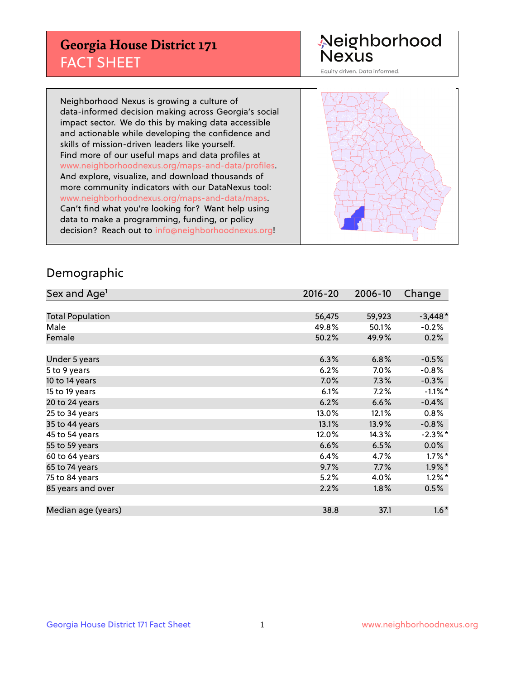## **Georgia House District 171** FACT SHEET

# Neighborhood<br>Nexus

Equity driven. Data informed.

Neighborhood Nexus is growing a culture of data-informed decision making across Georgia's social impact sector. We do this by making data accessible and actionable while developing the confidence and skills of mission-driven leaders like yourself. Find more of our useful maps and data profiles at www.neighborhoodnexus.org/maps-and-data/profiles. And explore, visualize, and download thousands of more community indicators with our DataNexus tool: www.neighborhoodnexus.org/maps-and-data/maps. Can't find what you're looking for? Want help using data to make a programming, funding, or policy decision? Reach out to [info@neighborhoodnexus.org!](mailto:info@neighborhoodnexus.org)



### Demographic

| Sex and Age <sup>1</sup> | $2016 - 20$ | 2006-10 | Change     |
|--------------------------|-------------|---------|------------|
|                          |             |         |            |
| <b>Total Population</b>  | 56,475      | 59,923  | $-3,448*$  |
| Male                     | 49.8%       | 50.1%   | $-0.2%$    |
| Female                   | 50.2%       | 49.9%   | 0.2%       |
|                          |             |         |            |
| Under 5 years            | 6.3%        | 6.8%    | $-0.5%$    |
| 5 to 9 years             | 6.2%        | 7.0%    | $-0.8%$    |
| 10 to 14 years           | 7.0%        | 7.3%    | $-0.3%$    |
| 15 to 19 years           | 6.1%        | 7.2%    | $-1.1\%$ * |
| 20 to 24 years           | 6.2%        | 6.6%    | $-0.4%$    |
| 25 to 34 years           | 13.0%       | 12.1%   | 0.8%       |
| 35 to 44 years           | 13.1%       | 13.9%   | $-0.8%$    |
| 45 to 54 years           | 12.0%       | 14.3%   | $-2.3\%$ * |
| 55 to 59 years           | 6.6%        | 6.5%    | 0.0%       |
| 60 to 64 years           | 6.4%        | 4.7%    | $1.7\%$ *  |
| 65 to 74 years           | 9.7%        | 7.7%    | $1.9\%$ *  |
| 75 to 84 years           | 5.2%        | 4.0%    | $1.2\%$ *  |
| 85 years and over        | 2.2%        | 1.8%    | 0.5%       |
|                          |             |         |            |
| Median age (years)       | 38.8        | 37.1    | $1.6*$     |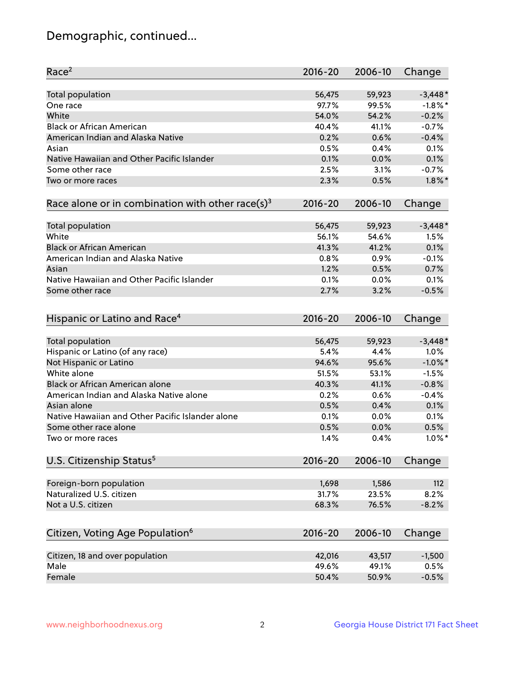## Demographic, continued...

| <b>Total population</b><br>56,475<br>59,923<br>$-3,448*$<br>$-1.8\%$ *<br>97.7%<br>99.5%<br>One race<br>White<br>54.0%<br>54.2%<br>$-0.2%$<br><b>Black or African American</b><br>40.4%<br>41.1%<br>$-0.7%$<br>American Indian and Alaska Native<br>0.6%<br>$-0.4%$<br>0.2%<br>0.5%<br>0.4%<br>0.1%<br>Asian<br>Native Hawaiian and Other Pacific Islander<br>0.1%<br>0.0%<br>0.1%<br>Some other race<br>$-0.7%$<br>2.5%<br>3.1%<br>$1.8\%$ *<br>2.3%<br>0.5%<br>Two or more races<br>Race alone or in combination with other race(s) <sup>3</sup><br>$2016 - 20$<br>2006-10<br>Change<br>Total population<br>56,475<br>59,923<br>$-3,448*$<br>White<br>56.1%<br>54.6%<br>1.5%<br><b>Black or African American</b><br>0.1%<br>41.3%<br>41.2%<br>American Indian and Alaska Native<br>$-0.1%$<br>0.8%<br>0.9%<br>1.2%<br>0.5%<br>0.7%<br>Asian<br>Native Hawaiian and Other Pacific Islander<br>0.1%<br>0.0%<br>0.1%<br>$-0.5%$<br>Some other race<br>2.7%<br>3.2%<br>Hispanic or Latino and Race <sup>4</sup><br>$2016 - 20$<br>2006-10<br>Change<br><b>Total population</b><br>$-3,448*$<br>56,475<br>59,923<br>Hispanic or Latino (of any race)<br>1.0%<br>5.4%<br>4.4%<br>$-1.0\%$ *<br>Not Hispanic or Latino<br>94.6%<br>95.6%<br>White alone<br>51.5%<br>53.1%<br>$-1.5%$<br>Black or African American alone<br>40.3%<br>41.1%<br>$-0.8%$<br>American Indian and Alaska Native alone<br>0.2%<br>0.6%<br>$-0.4%$<br>Asian alone<br>0.5%<br>0.1%<br>0.4%<br>Native Hawaiian and Other Pacific Islander alone<br>0.1%<br>0.0%<br>0.1%<br>0.5%<br>Some other race alone<br>0.5%<br>0.0%<br>$1.0\%$ *<br>1.4%<br>0.4%<br>Two or more races<br>U.S. Citizenship Status <sup>5</sup><br>$2016 - 20$<br>2006-10<br>Change<br>Foreign-born population<br>1,698<br>1,586<br>112<br>Naturalized U.S. citizen<br>31.7%<br>23.5%<br>8.2%<br>Not a U.S. citizen<br>68.3%<br>76.5%<br>$-8.2%$<br>Citizen, Voting Age Population <sup>6</sup><br>2006-10<br>Change<br>$2016 - 20$<br>Citizen, 18 and over population<br>42,016<br>43,517<br>$-1,500$<br>Male<br>49.6%<br>49.1%<br>0.5% | Race <sup>2</sup> | $2016 - 20$ | 2006-10 | Change  |
|------------------------------------------------------------------------------------------------------------------------------------------------------------------------------------------------------------------------------------------------------------------------------------------------------------------------------------------------------------------------------------------------------------------------------------------------------------------------------------------------------------------------------------------------------------------------------------------------------------------------------------------------------------------------------------------------------------------------------------------------------------------------------------------------------------------------------------------------------------------------------------------------------------------------------------------------------------------------------------------------------------------------------------------------------------------------------------------------------------------------------------------------------------------------------------------------------------------------------------------------------------------------------------------------------------------------------------------------------------------------------------------------------------------------------------------------------------------------------------------------------------------------------------------------------------------------------------------------------------------------------------------------------------------------------------------------------------------------------------------------------------------------------------------------------------------------------------------------------------------------------------------------------------------------------------------------------------------------------------------------------------------------------------------------------------------------------|-------------------|-------------|---------|---------|
|                                                                                                                                                                                                                                                                                                                                                                                                                                                                                                                                                                                                                                                                                                                                                                                                                                                                                                                                                                                                                                                                                                                                                                                                                                                                                                                                                                                                                                                                                                                                                                                                                                                                                                                                                                                                                                                                                                                                                                                                                                                                              |                   |             |         |         |
|                                                                                                                                                                                                                                                                                                                                                                                                                                                                                                                                                                                                                                                                                                                                                                                                                                                                                                                                                                                                                                                                                                                                                                                                                                                                                                                                                                                                                                                                                                                                                                                                                                                                                                                                                                                                                                                                                                                                                                                                                                                                              |                   |             |         |         |
|                                                                                                                                                                                                                                                                                                                                                                                                                                                                                                                                                                                                                                                                                                                                                                                                                                                                                                                                                                                                                                                                                                                                                                                                                                                                                                                                                                                                                                                                                                                                                                                                                                                                                                                                                                                                                                                                                                                                                                                                                                                                              |                   |             |         |         |
|                                                                                                                                                                                                                                                                                                                                                                                                                                                                                                                                                                                                                                                                                                                                                                                                                                                                                                                                                                                                                                                                                                                                                                                                                                                                                                                                                                                                                                                                                                                                                                                                                                                                                                                                                                                                                                                                                                                                                                                                                                                                              |                   |             |         |         |
|                                                                                                                                                                                                                                                                                                                                                                                                                                                                                                                                                                                                                                                                                                                                                                                                                                                                                                                                                                                                                                                                                                                                                                                                                                                                                                                                                                                                                                                                                                                                                                                                                                                                                                                                                                                                                                                                                                                                                                                                                                                                              |                   |             |         |         |
|                                                                                                                                                                                                                                                                                                                                                                                                                                                                                                                                                                                                                                                                                                                                                                                                                                                                                                                                                                                                                                                                                                                                                                                                                                                                                                                                                                                                                                                                                                                                                                                                                                                                                                                                                                                                                                                                                                                                                                                                                                                                              |                   |             |         |         |
|                                                                                                                                                                                                                                                                                                                                                                                                                                                                                                                                                                                                                                                                                                                                                                                                                                                                                                                                                                                                                                                                                                                                                                                                                                                                                                                                                                                                                                                                                                                                                                                                                                                                                                                                                                                                                                                                                                                                                                                                                                                                              |                   |             |         |         |
|                                                                                                                                                                                                                                                                                                                                                                                                                                                                                                                                                                                                                                                                                                                                                                                                                                                                                                                                                                                                                                                                                                                                                                                                                                                                                                                                                                                                                                                                                                                                                                                                                                                                                                                                                                                                                                                                                                                                                                                                                                                                              |                   |             |         |         |
|                                                                                                                                                                                                                                                                                                                                                                                                                                                                                                                                                                                                                                                                                                                                                                                                                                                                                                                                                                                                                                                                                                                                                                                                                                                                                                                                                                                                                                                                                                                                                                                                                                                                                                                                                                                                                                                                                                                                                                                                                                                                              |                   |             |         |         |
|                                                                                                                                                                                                                                                                                                                                                                                                                                                                                                                                                                                                                                                                                                                                                                                                                                                                                                                                                                                                                                                                                                                                                                                                                                                                                                                                                                                                                                                                                                                                                                                                                                                                                                                                                                                                                                                                                                                                                                                                                                                                              |                   |             |         |         |
|                                                                                                                                                                                                                                                                                                                                                                                                                                                                                                                                                                                                                                                                                                                                                                                                                                                                                                                                                                                                                                                                                                                                                                                                                                                                                                                                                                                                                                                                                                                                                                                                                                                                                                                                                                                                                                                                                                                                                                                                                                                                              |                   |             |         |         |
|                                                                                                                                                                                                                                                                                                                                                                                                                                                                                                                                                                                                                                                                                                                                                                                                                                                                                                                                                                                                                                                                                                                                                                                                                                                                                                                                                                                                                                                                                                                                                                                                                                                                                                                                                                                                                                                                                                                                                                                                                                                                              |                   |             |         |         |
|                                                                                                                                                                                                                                                                                                                                                                                                                                                                                                                                                                                                                                                                                                                                                                                                                                                                                                                                                                                                                                                                                                                                                                                                                                                                                                                                                                                                                                                                                                                                                                                                                                                                                                                                                                                                                                                                                                                                                                                                                                                                              |                   |             |         |         |
|                                                                                                                                                                                                                                                                                                                                                                                                                                                                                                                                                                                                                                                                                                                                                                                                                                                                                                                                                                                                                                                                                                                                                                                                                                                                                                                                                                                                                                                                                                                                                                                                                                                                                                                                                                                                                                                                                                                                                                                                                                                                              |                   |             |         |         |
|                                                                                                                                                                                                                                                                                                                                                                                                                                                                                                                                                                                                                                                                                                                                                                                                                                                                                                                                                                                                                                                                                                                                                                                                                                                                                                                                                                                                                                                                                                                                                                                                                                                                                                                                                                                                                                                                                                                                                                                                                                                                              |                   |             |         |         |
|                                                                                                                                                                                                                                                                                                                                                                                                                                                                                                                                                                                                                                                                                                                                                                                                                                                                                                                                                                                                                                                                                                                                                                                                                                                                                                                                                                                                                                                                                                                                                                                                                                                                                                                                                                                                                                                                                                                                                                                                                                                                              |                   |             |         |         |
|                                                                                                                                                                                                                                                                                                                                                                                                                                                                                                                                                                                                                                                                                                                                                                                                                                                                                                                                                                                                                                                                                                                                                                                                                                                                                                                                                                                                                                                                                                                                                                                                                                                                                                                                                                                                                                                                                                                                                                                                                                                                              |                   |             |         |         |
|                                                                                                                                                                                                                                                                                                                                                                                                                                                                                                                                                                                                                                                                                                                                                                                                                                                                                                                                                                                                                                                                                                                                                                                                                                                                                                                                                                                                                                                                                                                                                                                                                                                                                                                                                                                                                                                                                                                                                                                                                                                                              |                   |             |         |         |
|                                                                                                                                                                                                                                                                                                                                                                                                                                                                                                                                                                                                                                                                                                                                                                                                                                                                                                                                                                                                                                                                                                                                                                                                                                                                                                                                                                                                                                                                                                                                                                                                                                                                                                                                                                                                                                                                                                                                                                                                                                                                              |                   |             |         |         |
|                                                                                                                                                                                                                                                                                                                                                                                                                                                                                                                                                                                                                                                                                                                                                                                                                                                                                                                                                                                                                                                                                                                                                                                                                                                                                                                                                                                                                                                                                                                                                                                                                                                                                                                                                                                                                                                                                                                                                                                                                                                                              |                   |             |         |         |
|                                                                                                                                                                                                                                                                                                                                                                                                                                                                                                                                                                                                                                                                                                                                                                                                                                                                                                                                                                                                                                                                                                                                                                                                                                                                                                                                                                                                                                                                                                                                                                                                                                                                                                                                                                                                                                                                                                                                                                                                                                                                              |                   |             |         |         |
|                                                                                                                                                                                                                                                                                                                                                                                                                                                                                                                                                                                                                                                                                                                                                                                                                                                                                                                                                                                                                                                                                                                                                                                                                                                                                                                                                                                                                                                                                                                                                                                                                                                                                                                                                                                                                                                                                                                                                                                                                                                                              |                   |             |         |         |
|                                                                                                                                                                                                                                                                                                                                                                                                                                                                                                                                                                                                                                                                                                                                                                                                                                                                                                                                                                                                                                                                                                                                                                                                                                                                                                                                                                                                                                                                                                                                                                                                                                                                                                                                                                                                                                                                                                                                                                                                                                                                              |                   |             |         |         |
|                                                                                                                                                                                                                                                                                                                                                                                                                                                                                                                                                                                                                                                                                                                                                                                                                                                                                                                                                                                                                                                                                                                                                                                                                                                                                                                                                                                                                                                                                                                                                                                                                                                                                                                                                                                                                                                                                                                                                                                                                                                                              |                   |             |         |         |
|                                                                                                                                                                                                                                                                                                                                                                                                                                                                                                                                                                                                                                                                                                                                                                                                                                                                                                                                                                                                                                                                                                                                                                                                                                                                                                                                                                                                                                                                                                                                                                                                                                                                                                                                                                                                                                                                                                                                                                                                                                                                              |                   |             |         |         |
|                                                                                                                                                                                                                                                                                                                                                                                                                                                                                                                                                                                                                                                                                                                                                                                                                                                                                                                                                                                                                                                                                                                                                                                                                                                                                                                                                                                                                                                                                                                                                                                                                                                                                                                                                                                                                                                                                                                                                                                                                                                                              |                   |             |         |         |
|                                                                                                                                                                                                                                                                                                                                                                                                                                                                                                                                                                                                                                                                                                                                                                                                                                                                                                                                                                                                                                                                                                                                                                                                                                                                                                                                                                                                                                                                                                                                                                                                                                                                                                                                                                                                                                                                                                                                                                                                                                                                              |                   |             |         |         |
|                                                                                                                                                                                                                                                                                                                                                                                                                                                                                                                                                                                                                                                                                                                                                                                                                                                                                                                                                                                                                                                                                                                                                                                                                                                                                                                                                                                                                                                                                                                                                                                                                                                                                                                                                                                                                                                                                                                                                                                                                                                                              |                   |             |         |         |
|                                                                                                                                                                                                                                                                                                                                                                                                                                                                                                                                                                                                                                                                                                                                                                                                                                                                                                                                                                                                                                                                                                                                                                                                                                                                                                                                                                                                                                                                                                                                                                                                                                                                                                                                                                                                                                                                                                                                                                                                                                                                              |                   |             |         |         |
|                                                                                                                                                                                                                                                                                                                                                                                                                                                                                                                                                                                                                                                                                                                                                                                                                                                                                                                                                                                                                                                                                                                                                                                                                                                                                                                                                                                                                                                                                                                                                                                                                                                                                                                                                                                                                                                                                                                                                                                                                                                                              |                   |             |         |         |
|                                                                                                                                                                                                                                                                                                                                                                                                                                                                                                                                                                                                                                                                                                                                                                                                                                                                                                                                                                                                                                                                                                                                                                                                                                                                                                                                                                                                                                                                                                                                                                                                                                                                                                                                                                                                                                                                                                                                                                                                                                                                              |                   |             |         |         |
|                                                                                                                                                                                                                                                                                                                                                                                                                                                                                                                                                                                                                                                                                                                                                                                                                                                                                                                                                                                                                                                                                                                                                                                                                                                                                                                                                                                                                                                                                                                                                                                                                                                                                                                                                                                                                                                                                                                                                                                                                                                                              |                   |             |         |         |
|                                                                                                                                                                                                                                                                                                                                                                                                                                                                                                                                                                                                                                                                                                                                                                                                                                                                                                                                                                                                                                                                                                                                                                                                                                                                                                                                                                                                                                                                                                                                                                                                                                                                                                                                                                                                                                                                                                                                                                                                                                                                              |                   |             |         |         |
|                                                                                                                                                                                                                                                                                                                                                                                                                                                                                                                                                                                                                                                                                                                                                                                                                                                                                                                                                                                                                                                                                                                                                                                                                                                                                                                                                                                                                                                                                                                                                                                                                                                                                                                                                                                                                                                                                                                                                                                                                                                                              |                   |             |         |         |
|                                                                                                                                                                                                                                                                                                                                                                                                                                                                                                                                                                                                                                                                                                                                                                                                                                                                                                                                                                                                                                                                                                                                                                                                                                                                                                                                                                                                                                                                                                                                                                                                                                                                                                                                                                                                                                                                                                                                                                                                                                                                              |                   |             |         |         |
|                                                                                                                                                                                                                                                                                                                                                                                                                                                                                                                                                                                                                                                                                                                                                                                                                                                                                                                                                                                                                                                                                                                                                                                                                                                                                                                                                                                                                                                                                                                                                                                                                                                                                                                                                                                                                                                                                                                                                                                                                                                                              |                   |             |         |         |
|                                                                                                                                                                                                                                                                                                                                                                                                                                                                                                                                                                                                                                                                                                                                                                                                                                                                                                                                                                                                                                                                                                                                                                                                                                                                                                                                                                                                                                                                                                                                                                                                                                                                                                                                                                                                                                                                                                                                                                                                                                                                              |                   |             |         |         |
|                                                                                                                                                                                                                                                                                                                                                                                                                                                                                                                                                                                                                                                                                                                                                                                                                                                                                                                                                                                                                                                                                                                                                                                                                                                                                                                                                                                                                                                                                                                                                                                                                                                                                                                                                                                                                                                                                                                                                                                                                                                                              |                   |             |         |         |
|                                                                                                                                                                                                                                                                                                                                                                                                                                                                                                                                                                                                                                                                                                                                                                                                                                                                                                                                                                                                                                                                                                                                                                                                                                                                                                                                                                                                                                                                                                                                                                                                                                                                                                                                                                                                                                                                                                                                                                                                                                                                              | Female            | 50.4%       | 50.9%   | $-0.5%$ |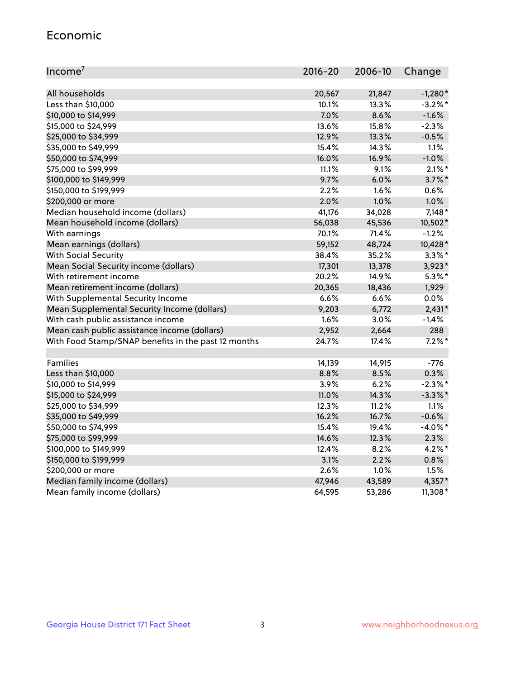#### Economic

| Income <sup>7</sup>                                 | $2016 - 20$ | 2006-10 | Change     |
|-----------------------------------------------------|-------------|---------|------------|
|                                                     |             |         |            |
| All households                                      | 20,567      | 21,847  | $-1,280*$  |
| Less than \$10,000                                  | 10.1%       | 13.3%   | $-3.2\%$ * |
| \$10,000 to \$14,999                                | 7.0%        | 8.6%    | $-1.6%$    |
| \$15,000 to \$24,999                                | 13.6%       | 15.8%   | $-2.3%$    |
| \$25,000 to \$34,999                                | 12.9%       | 13.3%   | $-0.5%$    |
| \$35,000 to \$49,999                                | 15.4%       | 14.3%   | 1.1%       |
| \$50,000 to \$74,999                                | 16.0%       | 16.9%   | $-1.0%$    |
| \$75,000 to \$99,999                                | 11.1%       | 9.1%    | $2.1\%$ *  |
| \$100,000 to \$149,999                              | 9.7%        | 6.0%    | $3.7\%$ *  |
| \$150,000 to \$199,999                              | 2.2%        | 1.6%    | 0.6%       |
| \$200,000 or more                                   | 2.0%        | 1.0%    | 1.0%       |
| Median household income (dollars)                   | 41,176      | 34,028  | $7,148*$   |
| Mean household income (dollars)                     | 56,038      | 45,536  | 10,502*    |
| With earnings                                       | 70.1%       | 71.4%   | $-1.2%$    |
| Mean earnings (dollars)                             | 59,152      | 48,724  | 10,428*    |
| <b>With Social Security</b>                         | 38.4%       | 35.2%   | $3.3\%$ *  |
| Mean Social Security income (dollars)               | 17,301      | 13,378  | 3,923*     |
| With retirement income                              | 20.2%       | 14.9%   | $5.3\%$ *  |
| Mean retirement income (dollars)                    | 20,365      | 18,436  | 1,929      |
| With Supplemental Security Income                   | 6.6%        | $6.6\%$ | 0.0%       |
| Mean Supplemental Security Income (dollars)         | 9,203       | 6,772   | $2,431*$   |
| With cash public assistance income                  | 1.6%        | 3.0%    | $-1.4%$    |
| Mean cash public assistance income (dollars)        | 2,952       | 2,664   | 288        |
| With Food Stamp/SNAP benefits in the past 12 months | 24.7%       | 17.4%   | $7.2\%$ *  |
|                                                     |             |         |            |
| Families                                            | 14,139      | 14,915  | -776       |
| Less than \$10,000                                  | 8.8%        | 8.5%    | 0.3%       |
| \$10,000 to \$14,999                                | 3.9%        | 6.2%    | $-2.3%$ *  |
| \$15,000 to \$24,999                                | 11.0%       | 14.3%   | $-3.3\%$ * |
| \$25,000 to \$34,999                                | 12.3%       | 11.2%   | 1.1%       |
| \$35,000 to \$49,999                                | 16.2%       | 16.7%   | $-0.6%$    |
| \$50,000 to \$74,999                                | 15.4%       | 19.4%   | $-4.0\%$ * |
| \$75,000 to \$99,999                                | 14.6%       | 12.3%   | 2.3%       |
| \$100,000 to \$149,999                              | 12.4%       | 8.2%    | $4.2\%$ *  |
| \$150,000 to \$199,999                              | 3.1%        | 2.2%    | 0.8%       |
| \$200,000 or more                                   | 2.6%        | 1.0%    | 1.5%       |
| Median family income (dollars)                      | 47,946      | 43,589  | 4,357*     |
| Mean family income (dollars)                        | 64,595      | 53,286  | 11,308*    |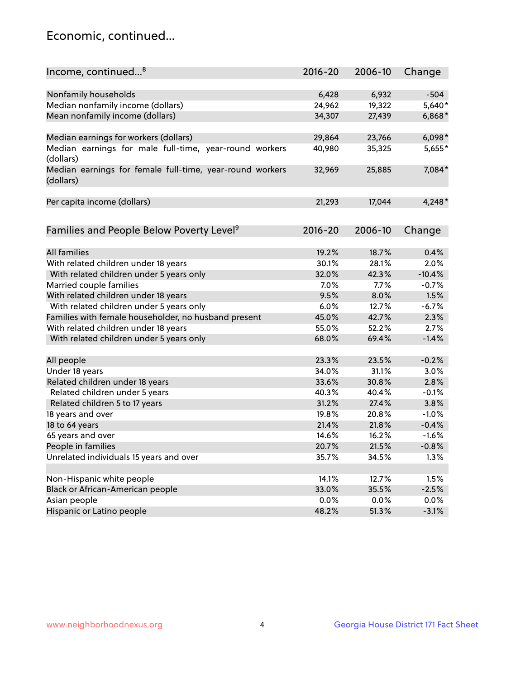## Economic, continued...

| Income, continued <sup>8</sup>                                        | $2016 - 20$ | 2006-10 | Change   |
|-----------------------------------------------------------------------|-------------|---------|----------|
|                                                                       |             |         |          |
| Nonfamily households                                                  | 6,428       | 6,932   | $-504$   |
| Median nonfamily income (dollars)                                     | 24,962      | 19,322  | 5,640*   |
| Mean nonfamily income (dollars)                                       | 34,307      | 27,439  | $6,868*$ |
| Median earnings for workers (dollars)                                 | 29,864      | 23,766  | $6,098*$ |
| Median earnings for male full-time, year-round workers                | 40,980      | 35,325  | 5,655*   |
| (dollars)                                                             |             |         |          |
| Median earnings for female full-time, year-round workers<br>(dollars) | 32,969      | 25,885  | 7,084*   |
| Per capita income (dollars)                                           | 21,293      | 17,044  | $4,248*$ |
|                                                                       |             |         |          |
| Families and People Below Poverty Level <sup>9</sup>                  | $2016 - 20$ | 2006-10 | Change   |
|                                                                       |             |         |          |
| <b>All families</b>                                                   | 19.2%       | 18.7%   | 0.4%     |
| With related children under 18 years                                  | 30.1%       | 28.1%   | 2.0%     |
| With related children under 5 years only                              | 32.0%       | 42.3%   | $-10.4%$ |
| Married couple families                                               | 7.0%        | 7.7%    | $-0.7%$  |
| With related children under 18 years                                  | 9.5%        | 8.0%    | 1.5%     |
| With related children under 5 years only                              | 6.0%        | 12.7%   | $-6.7%$  |
| Families with female householder, no husband present                  | 45.0%       | 42.7%   | 2.3%     |
| With related children under 18 years                                  | 55.0%       | 52.2%   | 2.7%     |
| With related children under 5 years only                              | 68.0%       | 69.4%   | $-1.4%$  |
| All people                                                            | 23.3%       | 23.5%   | $-0.2%$  |
| Under 18 years                                                        | 34.0%       | 31.1%   | 3.0%     |
| Related children under 18 years                                       | 33.6%       | 30.8%   | 2.8%     |
| Related children under 5 years                                        | 40.3%       | 40.4%   | $-0.1%$  |
| Related children 5 to 17 years                                        | 31.2%       | 27.4%   | 3.8%     |
| 18 years and over                                                     | 19.8%       | 20.8%   | $-1.0%$  |
| 18 to 64 years                                                        | 21.4%       | 21.8%   | $-0.4%$  |
| 65 years and over                                                     | 14.6%       | 16.2%   | $-1.6%$  |
| People in families                                                    | 20.7%       | 21.5%   | $-0.8%$  |
| Unrelated individuals 15 years and over                               | 35.7%       | 34.5%   | 1.3%     |
|                                                                       |             |         |          |
| Non-Hispanic white people                                             | 14.1%       | 12.7%   | 1.5%     |
| Black or African-American people                                      | 33.0%       | 35.5%   | $-2.5%$  |
| Asian people                                                          | 0.0%        | 0.0%    | 0.0%     |
| Hispanic or Latino people                                             | 48.2%       | 51.3%   | $-3.1%$  |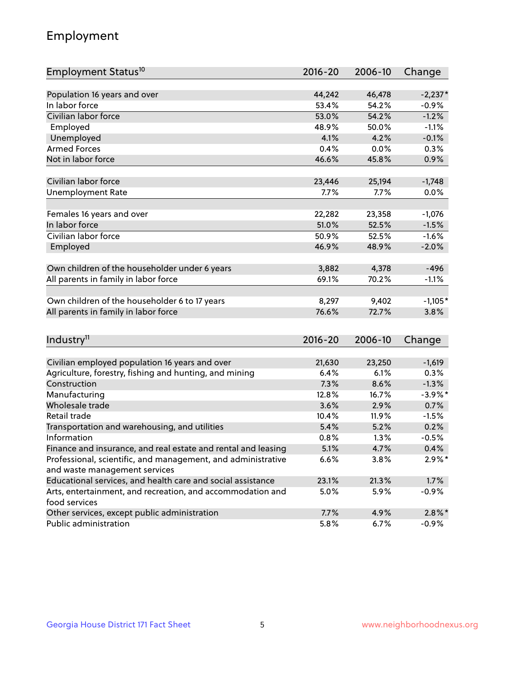## Employment

| Employment Status <sup>10</sup>                               | $2016 - 20$ | 2006-10 | Change     |
|---------------------------------------------------------------|-------------|---------|------------|
|                                                               |             |         |            |
| Population 16 years and over                                  | 44,242      | 46,478  | $-2,237*$  |
| In labor force                                                | 53.4%       | 54.2%   | $-0.9%$    |
| Civilian labor force                                          | 53.0%       | 54.2%   | $-1.2%$    |
| Employed                                                      | 48.9%       | 50.0%   | $-1.1%$    |
| Unemployed                                                    | 4.1%        | 4.2%    | $-0.1%$    |
| <b>Armed Forces</b>                                           | 0.4%        | 0.0%    | 0.3%       |
| Not in labor force                                            | 46.6%       | 45.8%   | 0.9%       |
| Civilian labor force                                          | 23,446      | 25,194  | $-1,748$   |
|                                                               | 7.7%        | 7.7%    | 0.0%       |
| <b>Unemployment Rate</b>                                      |             |         |            |
| Females 16 years and over                                     | 22,282      | 23,358  | $-1,076$   |
| In labor force                                                | 51.0%       | 52.5%   | $-1.5%$    |
| Civilian labor force                                          | 50.9%       | 52.5%   | $-1.6%$    |
| Employed                                                      | 46.9%       | 48.9%   | $-2.0%$    |
|                                                               |             |         |            |
| Own children of the householder under 6 years                 | 3,882       | 4,378   | $-496$     |
| All parents in family in labor force                          | 69.1%       | 70.2%   | $-1.1%$    |
| Own children of the householder 6 to 17 years                 | 8,297       | 9,402   | $-1,105*$  |
| All parents in family in labor force                          | 76.6%       | 72.7%   | 3.8%       |
|                                                               |             |         |            |
| Industry <sup>11</sup>                                        | $2016 - 20$ | 2006-10 | Change     |
|                                                               |             |         |            |
| Civilian employed population 16 years and over                | 21,630      | 23,250  | $-1,619$   |
| Agriculture, forestry, fishing and hunting, and mining        | 6.4%        | 6.1%    | 0.3%       |
| Construction                                                  | 7.3%        | 8.6%    | $-1.3%$    |
| Manufacturing                                                 | 12.8%       | 16.7%   | $-3.9\%$ * |
| Wholesale trade                                               | 3.6%        | 2.9%    | 0.7%       |
| Retail trade                                                  | 10.4%       | 11.9%   | $-1.5%$    |
| Transportation and warehousing, and utilities                 | 5.4%        | 5.2%    | 0.2%       |
| Information                                                   | 0.8%        | 1.3%    | $-0.5%$    |
| Finance and insurance, and real estate and rental and leasing | 5.1%        | 4.7%    | 0.4%       |
| Professional, scientific, and management, and administrative  | 6.6%        | 3.8%    | $2.9\%*$   |
| and waste management services                                 |             |         |            |
| Educational services, and health care and social assistance   | 23.1%       | 21.3%   | 1.7%       |
| Arts, entertainment, and recreation, and accommodation and    | 5.0%        | 5.9%    | $-0.9%$    |
| food services                                                 |             |         |            |
| Other services, except public administration                  | 7.7%        | 4.9%    | $2.8\%$ *  |
| Public administration                                         | 5.8%        | 6.7%    | $-0.9%$    |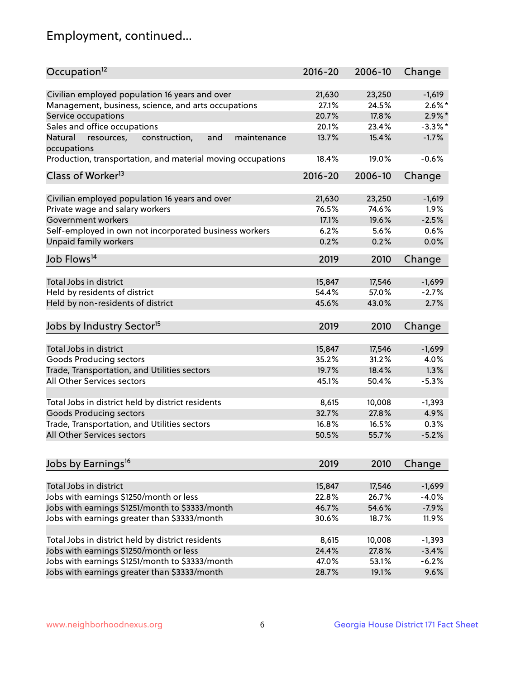## Employment, continued...

| Occupation <sup>12</sup>                                                    | $2016 - 20$     | 2006-10 | Change                |
|-----------------------------------------------------------------------------|-----------------|---------|-----------------------|
|                                                                             |                 | 23,250  |                       |
| Civilian employed population 16 years and over                              | 21,630<br>27.1% | 24.5%   | $-1,619$<br>$2.6\%$ * |
| Management, business, science, and arts occupations                         |                 |         | $2.9\%$ *             |
| Service occupations                                                         | 20.7%           | 17.8%   | $-3.3\%$ *            |
| Sales and office occupations                                                | 20.1%           | 23.4%   |                       |
| Natural<br>and<br>maintenance<br>resources,<br>construction,<br>occupations | 13.7%           | 15.4%   | $-1.7%$               |
| Production, transportation, and material moving occupations                 | 18.4%           | 19.0%   | $-0.6%$               |
| Class of Worker <sup>13</sup>                                               | $2016 - 20$     | 2006-10 | Change                |
|                                                                             |                 |         |                       |
| Civilian employed population 16 years and over                              | 21,630          | 23,250  | $-1,619$              |
| Private wage and salary workers                                             | 76.5%           | 74.6%   | 1.9%                  |
| Government workers                                                          | 17.1%           | 19.6%   | $-2.5%$               |
| Self-employed in own not incorporated business workers                      | 6.2%            | 5.6%    | 0.6%                  |
| Unpaid family workers                                                       | 0.2%            | 0.2%    | 0.0%                  |
| Job Flows <sup>14</sup>                                                     | 2019            | 2010    | Change                |
|                                                                             |                 |         |                       |
| Total Jobs in district                                                      | 15,847          | 17,546  | $-1,699$              |
| Held by residents of district                                               | 54.4%           | 57.0%   | $-2.7%$               |
| Held by non-residents of district                                           | 45.6%           | 43.0%   | 2.7%                  |
| Jobs by Industry Sector <sup>15</sup>                                       | 2019            | 2010    | Change                |
|                                                                             |                 |         |                       |
| Total Jobs in district                                                      | 15,847          | 17,546  | $-1,699$              |
| Goods Producing sectors                                                     | 35.2%           | 31.2%   | 4.0%                  |
| Trade, Transportation, and Utilities sectors                                | 19.7%           | 18.4%   | 1.3%                  |
| All Other Services sectors                                                  | 45.1%           | 50.4%   | $-5.3%$               |
|                                                                             |                 |         |                       |
| Total Jobs in district held by district residents                           | 8,615           | 10,008  | $-1,393$              |
| <b>Goods Producing sectors</b>                                              | 32.7%           | 27.8%   | 4.9%                  |
| Trade, Transportation, and Utilities sectors                                | 16.8%           | 16.5%   | 0.3%                  |
| All Other Services sectors                                                  | 50.5%           | 55.7%   | $-5.2%$               |
|                                                                             |                 |         |                       |
| Jobs by Earnings <sup>16</sup>                                              | 2019            | 2010    | Change                |
|                                                                             |                 |         |                       |
| Total Jobs in district                                                      | 15,847          | 17,546  | $-1,699$              |
| Jobs with earnings \$1250/month or less                                     | 22.8%           | 26.7%   | $-4.0%$               |
| Jobs with earnings \$1251/month to \$3333/month                             | 46.7%           | 54.6%   | $-7.9%$               |
| Jobs with earnings greater than \$3333/month                                | 30.6%           | 18.7%   | 11.9%                 |
| Total Jobs in district held by district residents                           | 8,615           |         | $-1,393$              |
|                                                                             |                 | 10,008  |                       |
| Jobs with earnings \$1250/month or less                                     | 24.4%           | 27.8%   | $-3.4%$               |
| Jobs with earnings \$1251/month to \$3333/month                             | 47.0%           | 53.1%   | $-6.2%$               |
| Jobs with earnings greater than \$3333/month                                | 28.7%           | 19.1%   | 9.6%                  |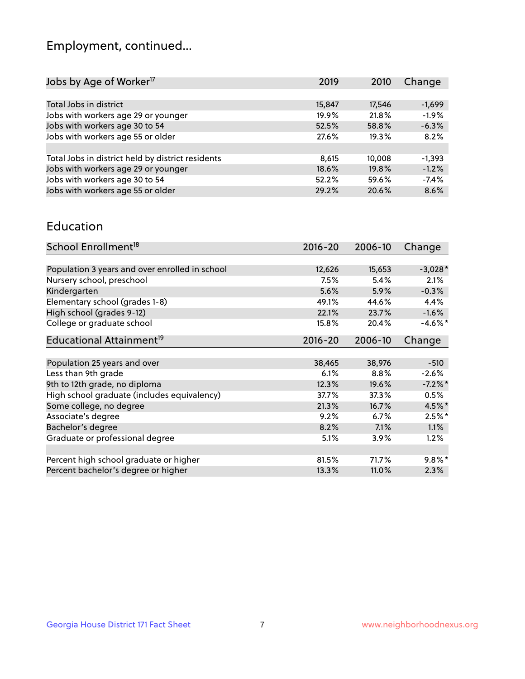## Employment, continued...

| Jobs by Age of Worker <sup>17</sup>               | 2019   | 2010   | Change   |
|---------------------------------------------------|--------|--------|----------|
|                                                   |        |        |          |
| Total Jobs in district                            | 15,847 | 17,546 | $-1,699$ |
| Jobs with workers age 29 or younger               | 19.9%  | 21.8%  | $-1.9%$  |
| Jobs with workers age 30 to 54                    | 52.5%  | 58.8%  | $-6.3%$  |
| Jobs with workers age 55 or older                 | 27.6%  | 19.3%  | 8.2%     |
|                                                   |        |        |          |
| Total Jobs in district held by district residents | 8,615  | 10,008 | $-1,393$ |
| Jobs with workers age 29 or younger               | 18.6%  | 19.8%  | $-1.2%$  |
| Jobs with workers age 30 to 54                    | 52.2%  | 59.6%  | $-7.4%$  |
| Jobs with workers age 55 or older                 | 29.2%  | 20.6%  | 8.6%     |

#### Education

| School Enrollment <sup>18</sup>                | $2016 - 20$ | 2006-10 | Change     |
|------------------------------------------------|-------------|---------|------------|
|                                                |             |         |            |
| Population 3 years and over enrolled in school | 12,626      | 15,653  | $-3,028*$  |
| Nursery school, preschool                      | 7.5%        | 5.4%    | 2.1%       |
| Kindergarten                                   | 5.6%        | 5.9%    | $-0.3%$    |
| Elementary school (grades 1-8)                 | 49.1%       | 44.6%   | 4.4%       |
| High school (grades 9-12)                      | 22.1%       | 23.7%   | $-1.6%$    |
| College or graduate school                     | 15.8%       | 20.4%   | $-4.6\%$ * |
| Educational Attainment <sup>19</sup>           | $2016 - 20$ | 2006-10 | Change     |
|                                                |             |         |            |
| Population 25 years and over                   | 38,465      | 38,976  | $-510$     |
| Less than 9th grade                            | 6.1%        | 8.8%    | $-2.6%$    |
| 9th to 12th grade, no diploma                  | 12.3%       | 19.6%   | $-7.2%$ *  |
| High school graduate (includes equivalency)    | 37.7%       | 37.3%   | 0.5%       |
| Some college, no degree                        | 21.3%       | 16.7%   | 4.5%*      |
| Associate's degree                             | 9.2%        | 6.7%    | $2.5%$ *   |
| Bachelor's degree                              | 8.2%        | 7.1%    | 1.1%       |
| Graduate or professional degree                | 5.1%        | 3.9%    | 1.2%       |
|                                                |             |         |            |
| Percent high school graduate or higher         | 81.5%       | 71.7%   | $9.8\%$ *  |
| Percent bachelor's degree or higher            | 13.3%       | 11.0%   | 2.3%       |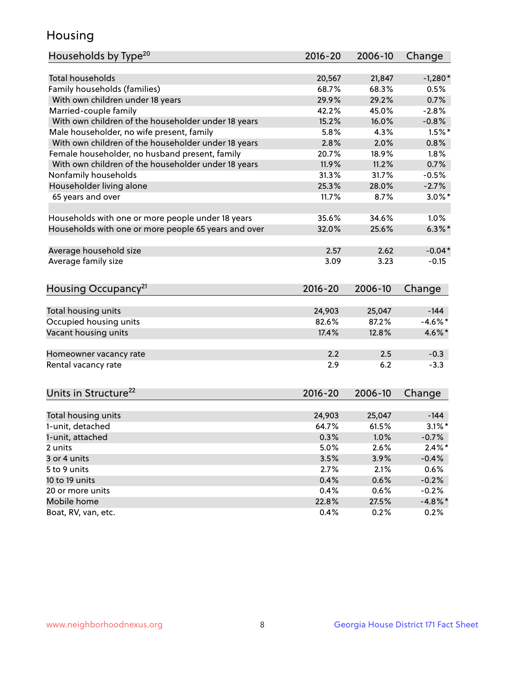## Housing

| Households by Type <sup>20</sup>                     | 2016-20 | 2006-10      | Change             |
|------------------------------------------------------|---------|--------------|--------------------|
|                                                      |         |              |                    |
| <b>Total households</b>                              | 20,567  | 21,847       | $-1,280*$          |
| Family households (families)                         | 68.7%   | 68.3%        | 0.5%               |
| With own children under 18 years                     | 29.9%   | 29.2%        | 0.7%               |
| Married-couple family                                | 42.2%   | 45.0%        | $-2.8%$            |
| With own children of the householder under 18 years  | 15.2%   | 16.0%        | $-0.8%$            |
| Male householder, no wife present, family            | 5.8%    | 4.3%         | $1.5%$ *           |
| With own children of the householder under 18 years  | 2.8%    | 2.0%         | 0.8%               |
| Female householder, no husband present, family       | 20.7%   | 18.9%        | 1.8%               |
| With own children of the householder under 18 years  | 11.9%   | 11.2%        | 0.7%               |
| Nonfamily households                                 | 31.3%   | 31.7%        | $-0.5%$            |
| Householder living alone                             | 25.3%   | 28.0%        | $-2.7%$            |
| 65 years and over                                    | 11.7%   | 8.7%         | $3.0\%$ *          |
|                                                      |         |              |                    |
| Households with one or more people under 18 years    | 35.6%   | 34.6%        | 1.0%               |
| Households with one or more people 65 years and over | 32.0%   | 25.6%        | $6.3\%$ *          |
|                                                      |         |              |                    |
| Average household size                               | 2.57    | 2.62         | $-0.04*$           |
| Average family size                                  | 3.09    | 3.23         | $-0.15$            |
|                                                      |         |              |                    |
| Housing Occupancy <sup>21</sup>                      | 2016-20 | 2006-10      | Change             |
|                                                      |         |              |                    |
| Total housing units                                  | 24,903  | 25,047       | $-144$             |
| Occupied housing units                               | 82.6%   | 87.2%        | $-4.6%$ *          |
| Vacant housing units                                 | 17.4%   | 12.8%        | 4.6%*              |
|                                                      |         |              |                    |
| Homeowner vacancy rate                               | 2.2     | 2.5          | $-0.3$             |
| Rental vacancy rate                                  | 2.9     | 6.2          | $-3.3$             |
|                                                      |         |              |                    |
| Units in Structure <sup>22</sup>                     | 2016-20 | 2006-10      |                    |
|                                                      |         |              | Change             |
| Total housing units                                  | 24,903  | 25,047       | $-144$             |
| 1-unit, detached                                     | 64.7%   | 61.5%        | $3.1\%$ *          |
| 1-unit, attached                                     | 0.3%    | 1.0%         | $-0.7%$            |
| 2 units                                              | 5.0%    | 2.6%         | $2.4\%$ *          |
| 3 or 4 units                                         | 3.5%    | 3.9%         | $-0.4%$            |
| 5 to 9 units                                         | 2.7%    | 2.1%         | 0.6%               |
| 10 to 19 units                                       | 0.4%    |              |                    |
| 20 or more units                                     | 0.4%    | 0.6%<br>0.6% | $-0.2%$<br>$-0.2%$ |
| Mobile home                                          | 22.8%   | 27.5%        | $-4.8\%$ *         |
| Boat, RV, van, etc.                                  | 0.4%    | 0.2%         |                    |
|                                                      |         |              | 0.2%               |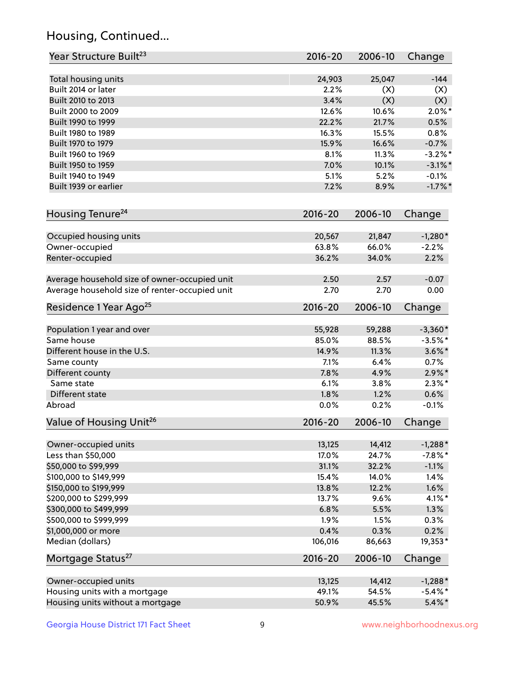## Housing, Continued...

| Year Structure Built <sup>23</sup>             | 2016-20     | 2006-10 | Change     |
|------------------------------------------------|-------------|---------|------------|
| Total housing units                            | 24,903      | 25,047  | $-144$     |
| Built 2014 or later                            | 2.2%        | (X)     | (X)        |
| Built 2010 to 2013                             | 3.4%        | (X)     | (X)        |
| Built 2000 to 2009                             | 12.6%       | 10.6%   | $2.0\%$ *  |
| Built 1990 to 1999                             | 22.2%       | 21.7%   | 0.5%       |
| Built 1980 to 1989                             | 16.3%       | 15.5%   | 0.8%       |
| Built 1970 to 1979                             | 15.9%       | 16.6%   | $-0.7%$    |
| Built 1960 to 1969                             | 8.1%        | 11.3%   | $-3.2%$ *  |
| Built 1950 to 1959                             | 7.0%        | 10.1%   | $-3.1\%$ * |
| Built 1940 to 1949                             | 5.1%        | 5.2%    | $-0.1%$    |
| Built 1939 or earlier                          | 7.2%        | 8.9%    | $-1.7%$ *  |
| Housing Tenure <sup>24</sup>                   | $2016 - 20$ | 2006-10 | Change     |
| Occupied housing units                         | 20,567      | 21,847  | $-1,280*$  |
| Owner-occupied                                 | 63.8%       | 66.0%   | $-2.2%$    |
| Renter-occupied                                | 36.2%       | 34.0%   | 2.2%       |
| Average household size of owner-occupied unit  | 2.50        | 2.57    | $-0.07$    |
| Average household size of renter-occupied unit | 2.70        | 2.70    | 0.00       |
| Residence 1 Year Ago <sup>25</sup>             | $2016 - 20$ | 2006-10 | Change     |
| Population 1 year and over                     | 55,928      | 59,288  | $-3,360*$  |
| Same house                                     | 85.0%       | 88.5%   | $-3.5%$ *  |
| Different house in the U.S.                    | 14.9%       | 11.3%   | $3.6\%$ *  |
| Same county                                    | 7.1%        | 6.4%    | 0.7%       |
| Different county                               | 7.8%        | 4.9%    | $2.9\%*$   |
| Same state                                     | 6.1%        | 3.8%    | $2.3\%*$   |
| Different state                                | 1.8%        | 1.2%    | 0.6%       |
| Abroad                                         | 0.0%        | 0.2%    | $-0.1%$    |
| Value of Housing Unit <sup>26</sup>            | $2016 - 20$ | 2006-10 | Change     |
| Owner-occupied units                           | 13,125      | 14,412  | $-1,288*$  |
| Less than \$50,000                             | 17.0%       | 24.7%   | $-7.8\%$ * |
| \$50,000 to \$99,999                           | 31.1%       | 32.2%   | $-1.1%$    |
| \$100,000 to \$149,999                         | 15.4%       | 14.0%   | 1.4%       |
| \$150,000 to \$199,999                         | 13.8%       | 12.2%   | 1.6%       |
| \$200,000 to \$299,999                         | 13.7%       | 9.6%    | $4.1\%$ *  |
| \$300,000 to \$499,999                         | 6.8%        | 5.5%    | 1.3%       |
| \$500,000 to \$999,999                         | 1.9%        | 1.5%    | 0.3%       |
| \$1,000,000 or more                            | 0.4%        | 0.3%    | 0.2%       |
| Median (dollars)                               | 106,016     | 86,663  | 19,353*    |
| Mortgage Status <sup>27</sup>                  | $2016 - 20$ | 2006-10 | Change     |
| Owner-occupied units                           | 13,125      | 14,412  | $-1,288*$  |
| Housing units with a mortgage                  | 49.1%       | 54.5%   | $-5.4\%$ * |
| Housing units without a mortgage               | 50.9%       | 45.5%   | $5.4\%$ *  |
|                                                |             |         |            |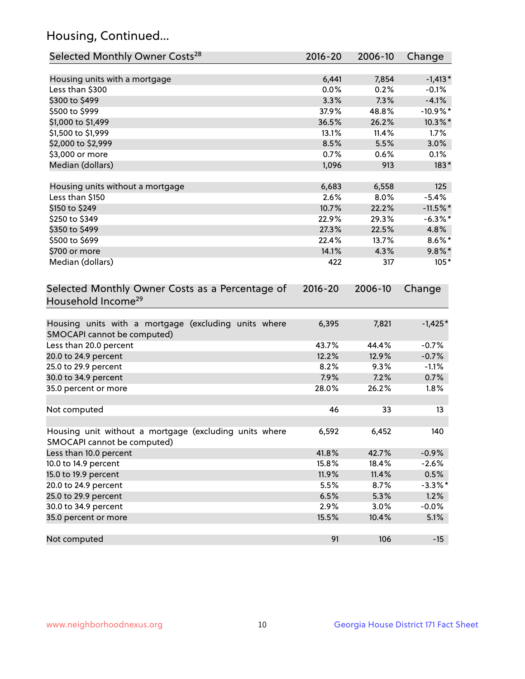## Housing, Continued...

| Selected Monthly Owner Costs <sup>28</sup>                                            | 2016-20     | 2006-10 | Change      |
|---------------------------------------------------------------------------------------|-------------|---------|-------------|
| Housing units with a mortgage                                                         | 6,441       | 7,854   | $-1,413*$   |
| Less than \$300                                                                       | 0.0%        | 0.2%    | $-0.1%$     |
| \$300 to \$499                                                                        | 3.3%        | 7.3%    | $-4.1%$     |
| \$500 to \$999                                                                        | 37.9%       | 48.8%   | $-10.9\%$ * |
| \$1,000 to \$1,499                                                                    | 36.5%       | 26.2%   | 10.3%*      |
| \$1,500 to \$1,999                                                                    | 13.1%       | 11.4%   | 1.7%        |
| \$2,000 to \$2,999                                                                    | 8.5%        | 5.5%    | 3.0%        |
| \$3,000 or more                                                                       | 0.7%        | 0.6%    | 0.1%        |
| Median (dollars)                                                                      | 1,096       | 913     | $183*$      |
| Housing units without a mortgage                                                      | 6,683       | 6,558   | 125         |
| Less than \$150                                                                       | 2.6%        | 8.0%    | $-5.4%$     |
| \$150 to \$249                                                                        | 10.7%       | 22.2%   | $-11.5%$    |
| \$250 to \$349                                                                        | 22.9%       | 29.3%   | $-6.3\%$ *  |
| \$350 to \$499                                                                        | 27.3%       | 22.5%   | 4.8%        |
| \$500 to \$699                                                                        | 22.4%       | 13.7%   | $8.6\%$ *   |
| \$700 or more                                                                         | 14.1%       | 4.3%    | $9.8\%$ *   |
| Median (dollars)                                                                      | 422         | 317     | $105*$      |
| Selected Monthly Owner Costs as a Percentage of<br>Household Income <sup>29</sup>     | $2016 - 20$ | 2006-10 | Change      |
| Housing units with a mortgage (excluding units where<br>SMOCAPI cannot be computed)   | 6,395       | 7,821   | $-1,425*$   |
| Less than 20.0 percent                                                                | 43.7%       | 44.4%   | $-0.7%$     |
| 20.0 to 24.9 percent                                                                  | 12.2%       | 12.9%   | $-0.7%$     |
| 25.0 to 29.9 percent                                                                  | 8.2%        | 9.3%    | $-1.1%$     |
| 30.0 to 34.9 percent                                                                  | 7.9%        | 7.2%    | 0.7%        |
| 35.0 percent or more                                                                  | 28.0%       | 26.2%   | 1.8%        |
| Not computed                                                                          | 46          | 33      | 13          |
| Housing unit without a mortgage (excluding units where<br>SMOCAPI cannot be computed) | 6,592       | 6,452   | 140         |
| Less than 10.0 percent                                                                | 41.8%       | 42.7%   | $-0.9%$     |
| 10.0 to 14.9 percent                                                                  | 15.8%       | 18.4%   | $-2.6%$     |
| 15.0 to 19.9 percent                                                                  | 11.9%       | 11.4%   | 0.5%        |
| 20.0 to 24.9 percent                                                                  | 5.5%        | 8.7%    | $-3.3\%$ *  |
| 25.0 to 29.9 percent                                                                  | 6.5%        | 5.3%    | 1.2%        |
| 30.0 to 34.9 percent                                                                  | 2.9%        | 3.0%    | $-0.0%$     |
| 35.0 percent or more                                                                  | 15.5%       | 10.4%   | 5.1%        |
| Not computed                                                                          | 91          | 106     | $-15$       |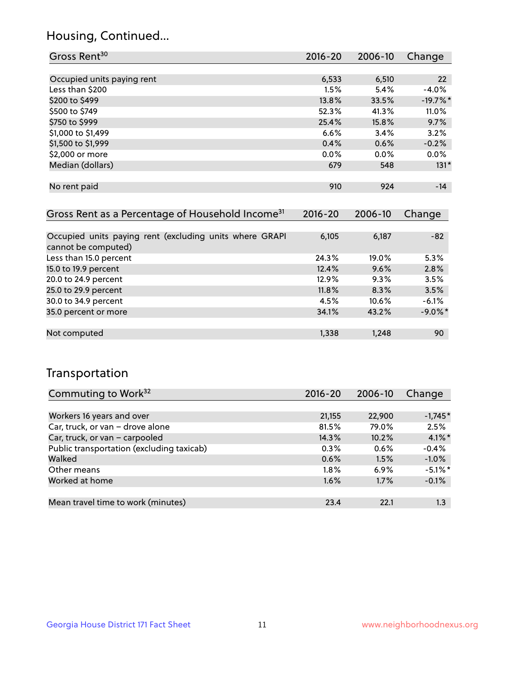## Housing, Continued...

| Gross Rent <sup>30</sup>   | 2016-20 | 2006-10 | Change     |
|----------------------------|---------|---------|------------|
|                            |         |         |            |
| Occupied units paying rent | 6,533   | 6,510   | 22         |
| Less than \$200            | 1.5%    | 5.4%    | $-4.0%$    |
| \$200 to \$499             | 13.8%   | 33.5%   | $-19.7%$ * |
| \$500 to \$749             | 52.3%   | 41.3%   | 11.0%      |
| \$750 to \$999             | 25.4%   | 15.8%   | 9.7%       |
| \$1,000 to \$1,499         | 6.6%    | 3.4%    | 3.2%       |
| \$1,500 to \$1,999         | 0.4%    | 0.6%    | $-0.2%$    |
| \$2,000 or more            | 0.0%    | 0.0%    | 0.0%       |
| Median (dollars)           | 679     | 548     | $131*$     |
|                            |         |         |            |
| No rent paid               | 910     | 924     | $-14$      |

| Gross Rent as a Percentage of Household Income <sup>31</sup>                   | $2016 - 20$ | 2006-10  | Change     |
|--------------------------------------------------------------------------------|-------------|----------|------------|
|                                                                                |             |          |            |
| Occupied units paying rent (excluding units where GRAPI<br>cannot be computed) | 6,105       | 6,187    | $-82$      |
| Less than 15.0 percent                                                         | 24.3%       | 19.0%    | 5.3%       |
| 15.0 to 19.9 percent                                                           | 12.4%       | 9.6%     | 2.8%       |
| 20.0 to 24.9 percent                                                           | 12.9%       | 9.3%     | 3.5%       |
| 25.0 to 29.9 percent                                                           | 11.8%       | 8.3%     | 3.5%       |
| 30.0 to 34.9 percent                                                           | 4.5%        | $10.6\%$ | $-6.1%$    |
| 35.0 percent or more                                                           | 34.1%       | 43.2%    | $-9.0\%$ * |
|                                                                                |             |          |            |
| Not computed                                                                   | 1,338       | 1,248    | 90         |

## Transportation

| Commuting to Work <sup>32</sup>           | 2016-20 | 2006-10 | Change     |
|-------------------------------------------|---------|---------|------------|
|                                           |         |         |            |
| Workers 16 years and over                 | 21,155  | 22,900  | $-1,745*$  |
| Car, truck, or van - drove alone          | 81.5%   | 79.0%   | 2.5%       |
| Car, truck, or van - carpooled            | 14.3%   | 10.2%   | $4.1\%$ *  |
| Public transportation (excluding taxicab) | 0.3%    | 0.6%    | $-0.4%$    |
| Walked                                    | 0.6%    | 1.5%    | $-1.0%$    |
| Other means                               | $1.8\%$ | 6.9%    | $-5.1\%$ * |
| Worked at home                            | 1.6%    | 1.7%    | $-0.1%$    |
|                                           |         |         |            |
| Mean travel time to work (minutes)        | 23.4    | 22.1    | 1.3        |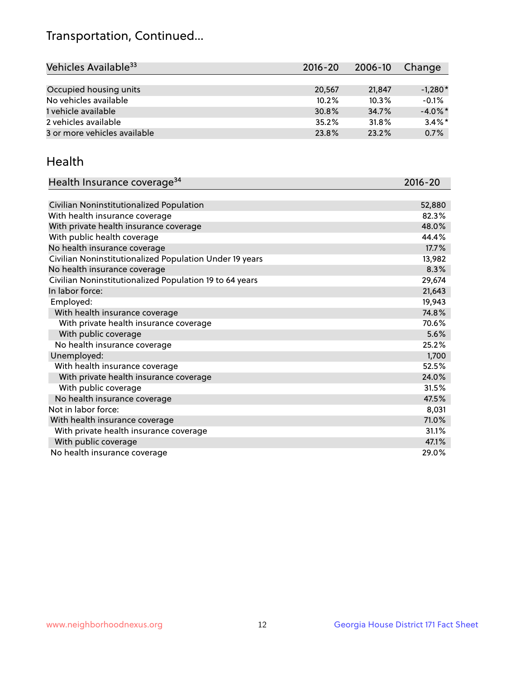## Transportation, Continued...

| Vehicles Available <sup>33</sup> | $2016 - 20$ | 2006-10 | Change     |
|----------------------------------|-------------|---------|------------|
|                                  |             |         |            |
| Occupied housing units           | 20,567      | 21,847  | $-1,280*$  |
| No vehicles available            | 10.2%       | 10.3%   | $-0.1%$    |
| 1 vehicle available              | 30.8%       | 34.7%   | $-4.0\%$ * |
| 2 vehicles available             | 35.2%       | 31.8%   | $3.4\%$ *  |
| 3 or more vehicles available     | 23.8%       | 23.2%   | 0.7%       |

#### Health

| Health Insurance coverage <sup>34</sup>                 | 2016-20 |
|---------------------------------------------------------|---------|
|                                                         |         |
| Civilian Noninstitutionalized Population                | 52,880  |
| With health insurance coverage                          | 82.3%   |
| With private health insurance coverage                  | 48.0%   |
| With public health coverage                             | 44.4%   |
| No health insurance coverage                            | 17.7%   |
| Civilian Noninstitutionalized Population Under 19 years | 13,982  |
| No health insurance coverage                            | 8.3%    |
| Civilian Noninstitutionalized Population 19 to 64 years | 29,674  |
| In labor force:                                         | 21,643  |
| Employed:                                               | 19,943  |
| With health insurance coverage                          | 74.8%   |
| With private health insurance coverage                  | 70.6%   |
| With public coverage                                    | 5.6%    |
| No health insurance coverage                            | 25.2%   |
| Unemployed:                                             | 1,700   |
| With health insurance coverage                          | 52.5%   |
| With private health insurance coverage                  | 24.0%   |
| With public coverage                                    | 31.5%   |
| No health insurance coverage                            | 47.5%   |
| Not in labor force:                                     | 8,031   |
| With health insurance coverage                          | 71.0%   |
| With private health insurance coverage                  | 31.1%   |
| With public coverage                                    | 47.1%   |
| No health insurance coverage                            | 29.0%   |